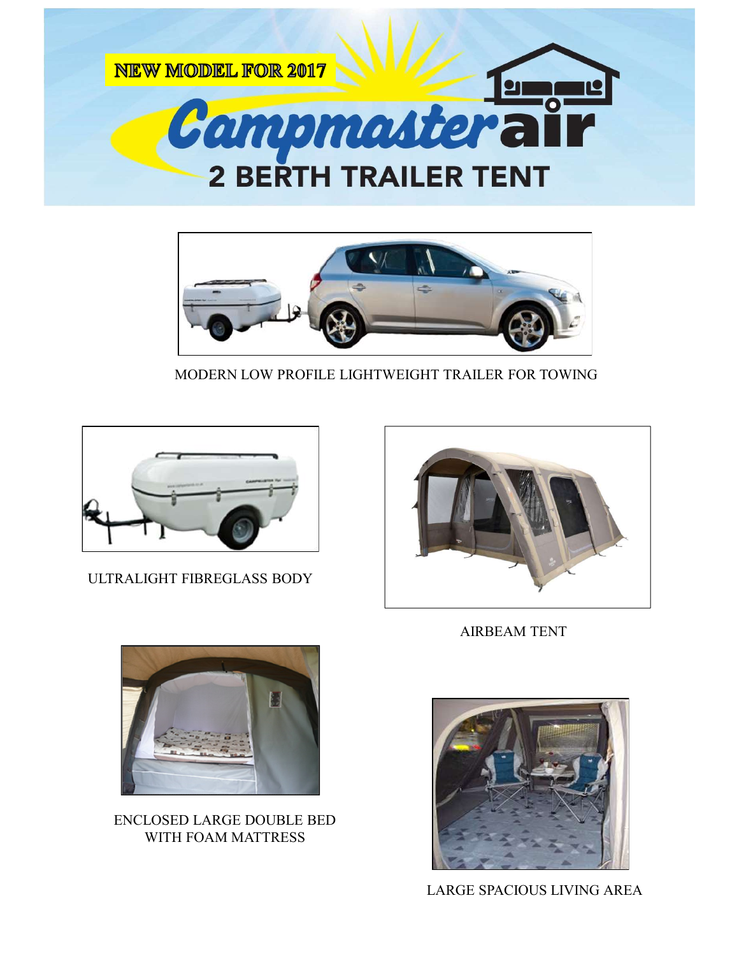



MODERN LOW PROFILE LIGHTWEIGHT TRAILER FOR TOWING



ULTRALIGHT FIBREGLASS BODY



AIRBEAM TENT



ENCLOSED LARGE DOUBLE BED WITH FOAM MATTRESS



LARGE SPACIOUS LIVING AREA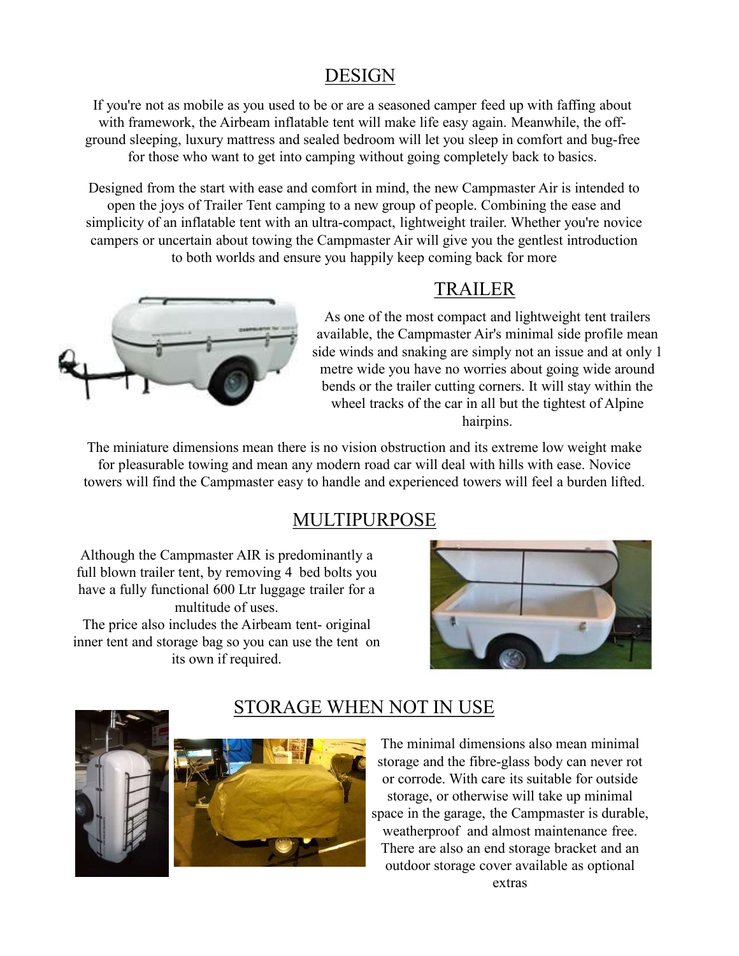#### DESIGN

If you're not as mobile as you used to be or are a seasoned camper feed up with faffing about with framework, the Airbeam inflatable tent will make life easy again. Meanwhile, the offground sleeping, luxury mattress and sealed bedroom will let you sleep in comfort and bug-free for those who want to get into camping without going completely back to basics.

Designed from the start with ease and comfort in mind, the new Campmaster Air is intended to open the joys of Trailer Tent camping to a new group of people. Combining the ease and simplicity of an inflatable tent with an ultra-compact, lightweight trailer. Whether you're novice campers or uncertain about towing the Campmaster Air will give you the gentlest introduction to both worlds and ensure you happily keep coming back for more



### TRAILER

As one of the most compact and lightweight tent trailers available, the Campmaster Air's minimal side profile mean side winds and snaking are simply not an issue and at only 1 metre wide you have no worries about going wide around bends or the trailer cutting corners. It will stay within the wheel tracks of the car in all but the tightest of Alpine hairpins. As one of the most compact and lightweight tent trailers<br>side winds and shallele, the Campmaster Air's minimal side profile nean<br>side winds and shalling are simply not an issue and at only 1<br>metre wide you have no worries

The miniature dimensions mean there is no vision obstruction and its extreme low weight make for pleasurable towing and mean any modern road car will deal with hills with ease. Novice towers will find the Campmaster easy to handle and experienced towers will feel a burden lifted.

#### MULTIPURPOSE

Although the Campmaster AIR is predominantly a full blown trailer tent, by removing 4 bed bolts you have a fully functional 600 Ltr luggage trailer for a multitude of uses.

inner tent and storage bag so you can use the tent on its own if required.





### STORAGE WHEN NOT IN USE

The minimal dimensions also mean minimal storage and the fibre-glass body can never rot or corrode. With care its suitable for outside storage, or otherwise will take up minimal space in the garage, the Campmaster is durable, weatherproof and almost maintenance free. There are also an end storage bracket and an outdoor storage cover available as optional extras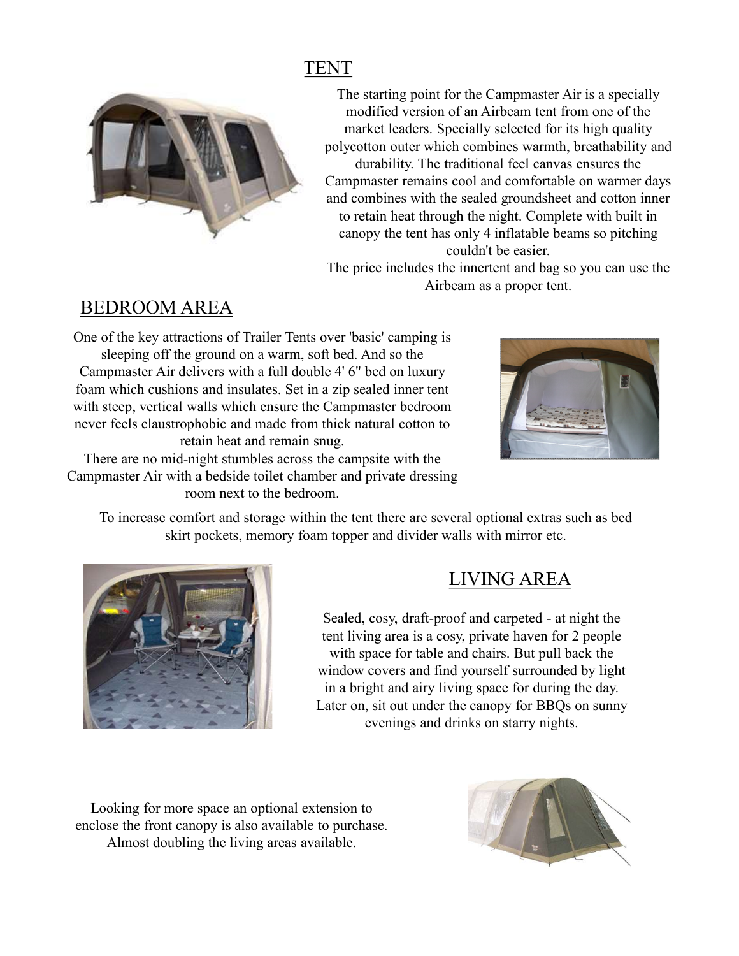# TENT



The starting point for the Campmaster Air is a specially modified version of an Airbeam tent from one of the market leaders. Specially selected for its high quality polycotton outer which combines warmth, breathability and durability. The traditional feel canvas ensures the Campmaster remains cool and comfortable on warmer days and combines with the sealed groundsheet and cotton inner to retain heat through the night. Complete with built in canopy the tent has only 4 inflatable beams so pitching couldn't be easier.

The price includes the innertent and bag so you can use the Airbeam as a proper tent.

## BEDROOM AREA

One of the key attractions of Trailer Tents over 'basic' camping is sleeping off the ground on a warm, soft bed. And so the Campmaster Air delivers with a full double 4' 6" bed on luxury foam which cushions and insulates. Set in a zip sealed inner tent with steep, vertical walls which ensure the Campmaster bedroom never feels claustrophobic and made from thick natural cotton to retain heat and remain snug.

There are no mid-night stumbles across the campsite with the Campmaster Air with a bedside toilet chamber and private dressing room next to the bedroom.



To increase comfort and storage within the tent there are several optional extras such as bed skirt pockets, memory foam topper and divider walls with mirror etc.



# LIVING AREA

of the d. And so the<br>
the 4' 6" bed on luxury<br>
a zip sealed inner tent<br>
Campmaster bedroom<br>
thick natural cotton to<br>
the campsite with the<br>
bee and private dressing<br>
m.<br>
the tent there are several optional extras such as b tent living area is a cosy, private haven for 2 people with space for table and chairs. But pull back the window covers and find yourself surrounded by light in a bright and airy living space for during the day. Later on, sit out under the canopy for BBQs on sunny evenings and drinks on starry nights.

Looking for more space an optional extension to enclose the front canopy is also available to purchase. Almost doubling the living areas available.